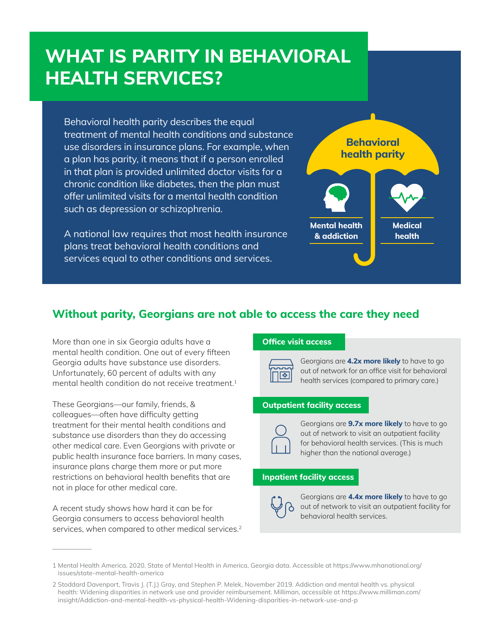# **WHAT IS PARITY IN BEHAVIORAL HEALTH SERVICES?**

Behavioral health parity describes the equal treatment of mental health conditions and substance use disorders in insurance plans. For example, when a plan has parity, it means that if a person enrolled in that plan is provided unlimited doctor visits for a chronic condition like diabetes, then the plan must offer unlimited visits for a mental health condition such as depression or schizophrenia.

A national law requires that most health insurance plans treat behavioral health conditions and services equal to other conditions and services.



### **Without parity, Georgians are not able to access the care they need**

More than one in six Georgia adults have a mental health condition. One out of every fifteen Georgia adults have substance use disorders. Unfortunately, 60 percent of adults with any mental health condition do not receive treatment.<sup>1</sup>

These Georgians—our family, friends, & colleagues—often have difficulty getting treatment for their mental health conditions and substance use disorders than they do accessing other medical care. Even Georgians with private or public health insurance face barriers. In many cases, insurance plans charge them more or put more restrictions on behavioral health benefits that are not in place for other medical care.

A recent study shows how hard it can be for Georgia consumers to access behavioral health services, when compared to other medical services.<sup>2</sup>

#### **Office visit access**



Georgians are **4.2x more likely** to have to go out of network for an office visit for behavioral health services (compared to primary care.)

#### **Outpatient facility access**



Georgians are **9.7x more likely** to have to go out of network to visit an outpatient facility for behavioral health services. (This is much higher than the national average.)

#### **Inpatient facility access**



Georgians are **4.4x more likely** to have to go out of network to visit an outpatient facility for behavioral health services.

<sup>1</sup> Mental Health America, 2020. State of Mental Health in America, Georgia data. Accessible at https://www.mhanational.org/ issues/state-mental-health-america

<sup>2</sup> Stoddard Davenport, Travis J. (T.J.) Gray, and Stephen P. Melek, November 2019. Addiction and mental health vs. physical health: Widening disparities in network use and provider reimbursement. Milliman, accessible at https://www.milliman.com/ insight/Addiction-and-mental-health-vs-physical-health-Widening-disparities-in-network-use-and-p